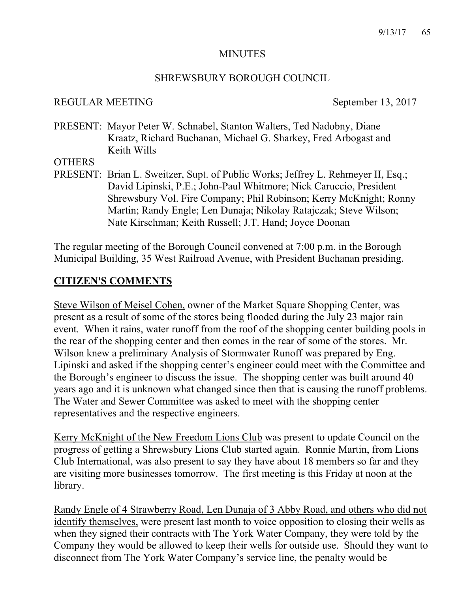#### MINUTES

#### SHREWSBURY BOROUGH COUNCIL

### REGULAR MEETING September 13, 2017

PRESENT: Mayor Peter W. Schnabel, Stanton Walters, Ted Nadobny, Diane Kraatz, Richard Buchanan, Michael G. Sharkey, Fred Arbogast and Keith Wills

#### **OTHERS**

PRESENT: Brian L. Sweitzer, Supt. of Public Works; Jeffrey L. Rehmeyer II, Esq.; David Lipinski, P.E.; John-Paul Whitmore; Nick Caruccio, President Shrewsbury Vol. Fire Company; Phil Robinson; Kerry McKnight; Ronny Martin; Randy Engle; Len Dunaja; Nikolay Ratajczak; Steve Wilson; Nate Kirschman; Keith Russell; J.T. Hand; Joyce Doonan

The regular meeting of the Borough Council convened at 7:00 p.m. in the Borough Municipal Building, 35 West Railroad Avenue, with President Buchanan presiding.

# **CITIZEN'S COMMENTS**

Steve Wilson of Meisel Cohen, owner of the Market Square Shopping Center, was present as a result of some of the stores being flooded during the July 23 major rain event. When it rains, water runoff from the roof of the shopping center building pools in the rear of the shopping center and then comes in the rear of some of the stores. Mr. Wilson knew a preliminary Analysis of Stormwater Runoff was prepared by Eng. Lipinski and asked if the shopping center's engineer could meet with the Committee and the Borough's engineer to discuss the issue. The shopping center was built around 40 years ago and it is unknown what changed since then that is causing the runoff problems. The Water and Sewer Committee was asked to meet with the shopping center representatives and the respective engineers.

Kerry McKnight of the New Freedom Lions Club was present to update Council on the progress of getting a Shrewsbury Lions Club started again. Ronnie Martin, from Lions Club International, was also present to say they have about 18 members so far and they are visiting more businesses tomorrow. The first meeting is this Friday at noon at the library.

Randy Engle of 4 Strawberry Road, Len Dunaja of 3 Abby Road, and others who did not identify themselves, were present last month to voice opposition to closing their wells as when they signed their contracts with The York Water Company, they were told by the Company they would be allowed to keep their wells for outside use. Should they want to disconnect from The York Water Company's service line, the penalty would be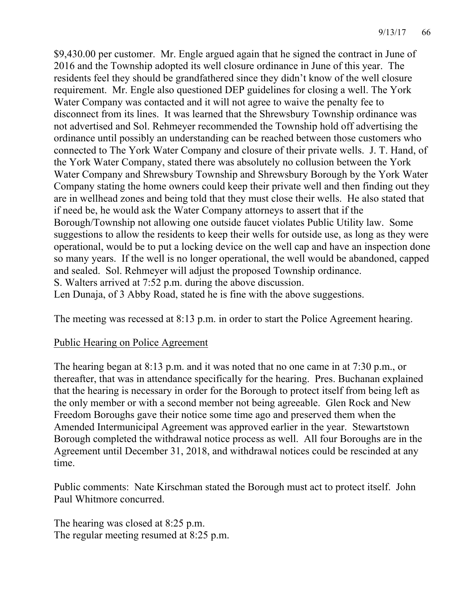\$9,430.00 per customer. Mr. Engle argued again that he signed the contract in June of 2016 and the Township adopted its well closure ordinance in June of this year. The residents feel they should be grandfathered since they didn't know of the well closure requirement. Mr. Engle also questioned DEP guidelines for closing a well. The York Water Company was contacted and it will not agree to waive the penalty fee to disconnect from its lines. It was learned that the Shrewsbury Township ordinance was not advertised and Sol. Rehmeyer recommended the Township hold off advertising the ordinance until possibly an understanding can be reached between those customers who connected to The York Water Company and closure of their private wells. J. T. Hand, of the York Water Company, stated there was absolutely no collusion between the York Water Company and Shrewsbury Township and Shrewsbury Borough by the York Water Company stating the home owners could keep their private well and then finding out they are in wellhead zones and being told that they must close their wells. He also stated that if need be, he would ask the Water Company attorneys to assert that if the Borough/Township not allowing one outside faucet violates Public Utility law. Some suggestions to allow the residents to keep their wells for outside use, as long as they were operational, would be to put a locking device on the well cap and have an inspection done so many years. If the well is no longer operational, the well would be abandoned, capped and sealed. Sol. Rehmeyer will adjust the proposed Township ordinance. S. Walters arrived at 7:52 p.m. during the above discussion. Len Dunaja, of 3 Abby Road, stated he is fine with the above suggestions.

The meeting was recessed at 8:13 p.m. in order to start the Police Agreement hearing.

### Public Hearing on Police Agreement

The hearing began at 8:13 p.m. and it was noted that no one came in at 7:30 p.m., or thereafter, that was in attendance specifically for the hearing. Pres. Buchanan explained that the hearing is necessary in order for the Borough to protect itself from being left as the only member or with a second member not being agreeable. Glen Rock and New Freedom Boroughs gave their notice some time ago and preserved them when the Amended Intermunicipal Agreement was approved earlier in the year. Stewartstown Borough completed the withdrawal notice process as well. All four Boroughs are in the Agreement until December 31, 2018, and withdrawal notices could be rescinded at any time.

Public comments: Nate Kirschman stated the Borough must act to protect itself. John Paul Whitmore concurred.

The hearing was closed at 8:25 p.m. The regular meeting resumed at 8:25 p.m.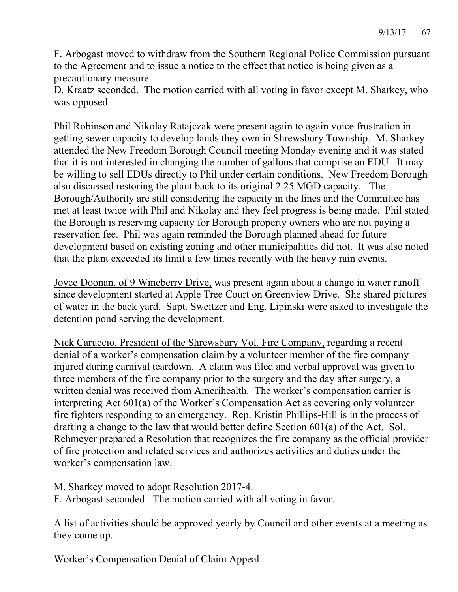F. Arbogast moved to withdraw from the Southern Regional Police Commission pursuant to the Agreement and to issue a notice to the effect that notice is being given as a precautionary measure.

D. Kraatz seconded. The motion carried with all voting in favor except M. Sharkey, who was opposed.

Phil Robinson and Nikolay Ratajczak were present again to again voice frustration in getting sewer capacity to develop lands they own in Shrewsbury Township. M. Sharkey attended the New Freedom Borough Council meeting Monday evening and it was stated that it is not interested in changing the number of gallons that comprise an EDU. It may be willing to sell EDUs directly to Phil under certain conditions. New Freedom Borough also discussed restoring the plant back to its original 2.25 MGD capacity. The Borough/Authority are still considering the capacity in the lines and the Committee has met at least twice with Phil and Nikolay and they feel progress is being made. Phil stated the Borough is reserving capacity for Borough property owners who are not paying a reservation fee. Phil was again reminded the Borough planned ahead for future development based on existing zoning and other municipalities did not. It was also noted that the plant exceeded its limit a few times recently with the heavy rain events.

Joyce Doonan, of 9 Wineberry Drive, was present again about a change in water runoff since development started at Apple Tree Court on Greenview Drive. She shared pictures of water in the back yard. Supt. Sweitzer and Eng. Lipinski were asked to investigate the detention pond serving the development.

Nick Caruccio, President of the Shrewsbury Vol. Fire Company, regarding a recent denial of a worker's compensation claim by a volunteer member of the fire company injured during carnival teardown. A claim was filed and verbal approval was given to three members of the fire company prior to the surgery and the day after surgery, a written denial was received from Amerihealth. The worker's compensation carrier is interpreting Act 601(a) of the Worker's Compensation Act as covering only volunteer fire fighters responding to an emergency. Rep. Kristin Phillips-Hill is in the process of drafting a change to the law that would better define Section 601(a) of the Act. Sol. Rehmeyer prepared a Resolution that recognizes the fire company as the official provider of fire protection and related services and authorizes activities and duties under the worker's compensation law.

M. Sharkey moved to adopt Resolution 2017-4.

F. Arbogast seconded. The motion carried with all voting in favor.

A list of activities should be approved yearly by Council and other events at a meeting as they come up.

Worker's Compensation Denial of Claim Appeal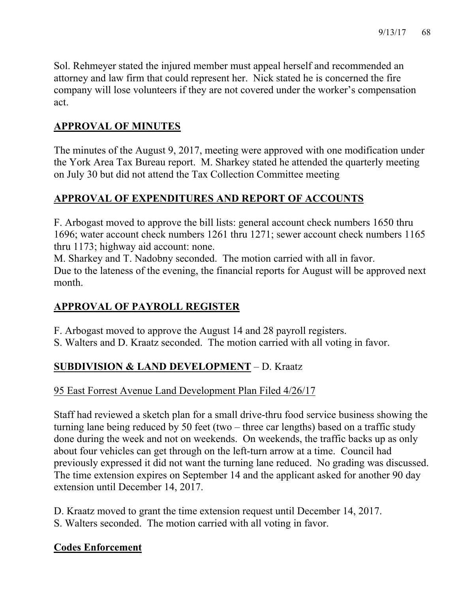Sol. Rehmeyer stated the injured member must appeal herself and recommended an attorney and law firm that could represent her. Nick stated he is concerned the fire company will lose volunteers if they are not covered under the worker's compensation act.

# **APPROVAL OF MINUTES**

The minutes of the August 9, 2017, meeting were approved with one modification under the York Area Tax Bureau report. M. Sharkey stated he attended the quarterly meeting on July 30 but did not attend the Tax Collection Committee meeting

# **APPROVAL OF EXPENDITURES AND REPORT OF ACCOUNTS**

F. Arbogast moved to approve the bill lists: general account check numbers 1650 thru 1696; water account check numbers 1261 thru 1271; sewer account check numbers 1165 thru 1173; highway aid account: none.

M. Sharkey and T. Nadobny seconded. The motion carried with all in favor. Due to the lateness of the evening, the financial reports for August will be approved next month.

# **APPROVAL OF PAYROLL REGISTER**

F. Arbogast moved to approve the August 14 and 28 payroll registers.

S. Walters and D. Kraatz seconded. The motion carried with all voting in favor.

# **SUBDIVISION & LAND DEVELOPMENT** – D. Kraatz

# 95 East Forrest Avenue Land Development Plan Filed 4/26/17

Staff had reviewed a sketch plan for a small drive-thru food service business showing the turning lane being reduced by 50 feet (two – three car lengths) based on a traffic study done during the week and not on weekends. On weekends, the traffic backs up as only about four vehicles can get through on the left-turn arrow at a time. Council had previously expressed it did not want the turning lane reduced. No grading was discussed. The time extension expires on September 14 and the applicant asked for another 90 day extension until December 14, 2017.

D. Kraatz moved to grant the time extension request until December 14, 2017.

S. Walters seconded. The motion carried with all voting in favor.

# **Codes Enforcement**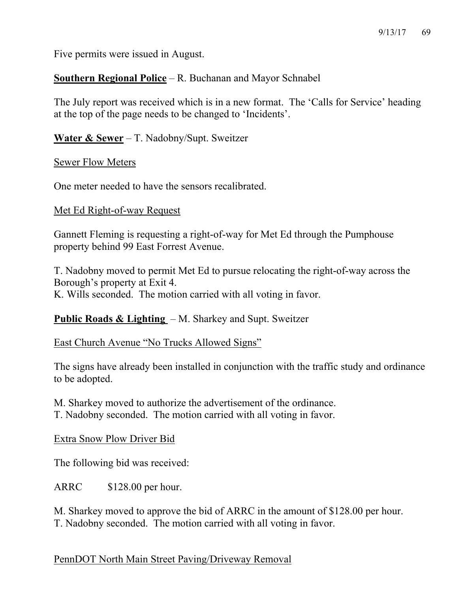Five permits were issued in August.

**Southern Regional Police** – R. Buchanan and Mayor Schnabel

The July report was received which is in a new format. The 'Calls for Service' heading at the top of the page needs to be changed to 'Incidents'.

**Water & Sewer** – T. Nadobny/Supt. Sweitzer

Sewer Flow Meters

One meter needed to have the sensors recalibrated.

#### Met Ed Right-of-way Request

Gannett Fleming is requesting a right-of-way for Met Ed through the Pumphouse property behind 99 East Forrest Avenue.

T. Nadobny moved to permit Met Ed to pursue relocating the right-of-way across the Borough's property at Exit 4. K. Wills seconded. The motion carried with all voting in favor.

**Public Roads & Lighting** – M. Sharkey and Supt. Sweitzer

East Church Avenue "No Trucks Allowed Signs"

The signs have already been installed in conjunction with the traffic study and ordinance to be adopted.

M. Sharkey moved to authorize the advertisement of the ordinance. T. Nadobny seconded. The motion carried with all voting in favor.

Extra Snow Plow Driver Bid

The following bid was received:

ARRC \$128.00 per hour.

M. Sharkey moved to approve the bid of ARRC in the amount of \$128.00 per hour. T. Nadobny seconded. The motion carried with all voting in favor.

### PennDOT North Main Street Paving/Driveway Removal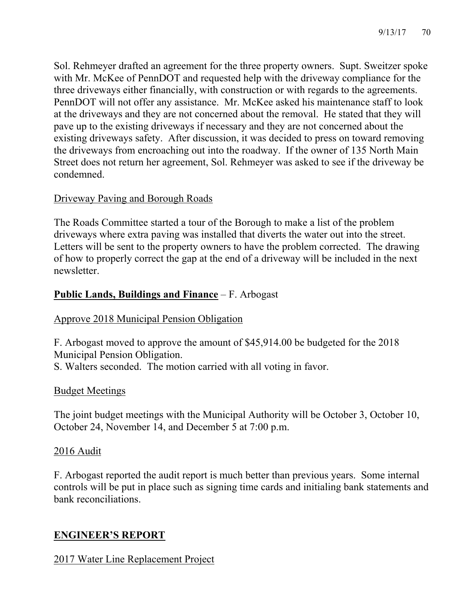Sol. Rehmeyer drafted an agreement for the three property owners. Supt. Sweitzer spoke with Mr. McKee of PennDOT and requested help with the driveway compliance for the three driveways either financially, with construction or with regards to the agreements. PennDOT will not offer any assistance. Mr. McKee asked his maintenance staff to look at the driveways and they are not concerned about the removal. He stated that they will pave up to the existing driveways if necessary and they are not concerned about the existing driveways safety. After discussion, it was decided to press on toward removing the driveways from encroaching out into the roadway. If the owner of 135 North Main Street does not return her agreement, Sol. Rehmeyer was asked to see if the driveway be condemned.

### Driveway Paving and Borough Roads

The Roads Committee started a tour of the Borough to make a list of the problem driveways where extra paving was installed that diverts the water out into the street. Letters will be sent to the property owners to have the problem corrected. The drawing of how to properly correct the gap at the end of a driveway will be included in the next newsletter.

# **Public Lands, Buildings and Finance** – F. Arbogast

# Approve 2018 Municipal Pension Obligation

F. Arbogast moved to approve the amount of \$45,914.00 be budgeted for the 2018 Municipal Pension Obligation.

S. Walters seconded. The motion carried with all voting in favor.

### Budget Meetings

The joint budget meetings with the Municipal Authority will be October 3, October 10, October 24, November 14, and December 5 at 7:00 p.m.

# 2016 Audit

F. Arbogast reported the audit report is much better than previous years. Some internal controls will be put in place such as signing time cards and initialing bank statements and bank reconciliations.

# **ENGINEER'S REPORT**

2017 Water Line Replacement Project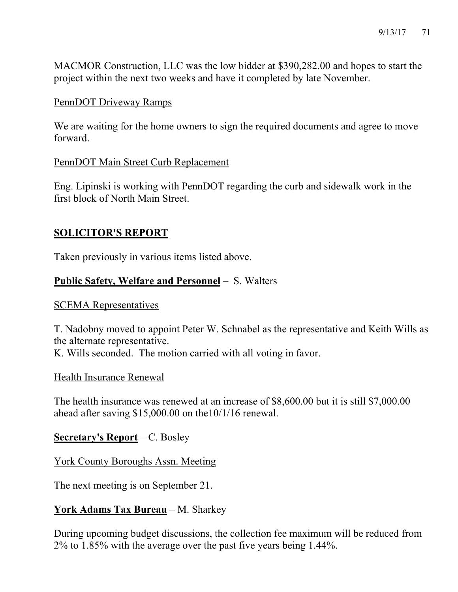MACMOR Construction, LLC was the low bidder at \$390,282.00 and hopes to start the project within the next two weeks and have it completed by late November.

#### PennDOT Driveway Ramps

We are waiting for the home owners to sign the required documents and agree to move forward.

### PennDOT Main Street Curb Replacement

Eng. Lipinski is working with PennDOT regarding the curb and sidewalk work in the first block of North Main Street.

### **SOLICITOR'S REPORT**

Taken previously in various items listed above.

### **Public Safety, Welfare and Personnel** – S. Walters

#### SCEMA Representatives

T. Nadobny moved to appoint Peter W. Schnabel as the representative and Keith Wills as the alternate representative. K. Wills seconded. The motion carried with all voting in favor.

Health Insurance Renewal

The health insurance was renewed at an increase of \$8,600.00 but it is still \$7,000.00 ahead after saving \$15,000.00 on the10/1/16 renewal.

### **Secretary's Report** – C. Bosley

York County Boroughs Assn. Meeting

The next meeting is on September 21.

# **York Adams Tax Bureau** – M. Sharkey

During upcoming budget discussions, the collection fee maximum will be reduced from 2% to 1.85% with the average over the past five years being 1.44%.